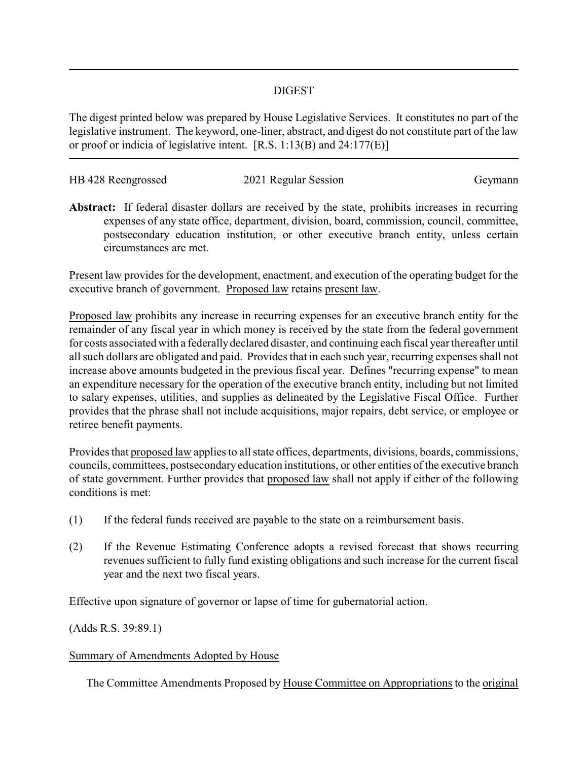## DIGEST

The digest printed below was prepared by House Legislative Services. It constitutes no part of the legislative instrument. The keyword, one-liner, abstract, and digest do not constitute part of the law or proof or indicia of legislative intent. [R.S. 1:13(B) and 24:177(E)]

| HB 428 Reengrossed | 2021 Regular Session | Geymann |
|--------------------|----------------------|---------|
|                    |                      |         |

**Abstract:** If federal disaster dollars are received by the state, prohibits increases in recurring expenses of any state office, department, division, board, commission, council, committee, postsecondary education institution, or other executive branch entity, unless certain circumstances are met.

Present law provides for the development, enactment, and execution of the operating budget for the executive branch of government. Proposed law retains present law.

Proposed law prohibits any increase in recurring expenses for an executive branch entity for the remainder of any fiscal year in which money is received by the state from the federal government for costs associated with a federally declared disaster, and continuing each fiscal year thereafter until all such dollars are obligated and paid. Provides that in each such year, recurring expenses shall not increase above amounts budgeted in the previous fiscal year. Defines "recurring expense" to mean an expenditure necessary for the operation of the executive branch entity, including but not limited to salary expenses, utilities, and supplies as delineated by the Legislative Fiscal Office. Further provides that the phrase shall not include acquisitions, major repairs, debt service, or employee or retiree benefit payments.

Provides that proposed law applies to all state offices, departments, divisions, boards, commissions, councils, committees, postsecondary education institutions, or other entities of the executive branch of state government. Further provides that proposed law shall not apply if either of the following conditions is met:

- (1) If the federal funds received are payable to the state on a reimbursement basis.
- (2) If the Revenue Estimating Conference adopts a revised forecast that shows recurring revenues sufficient to fully fund existing obligations and such increase for the current fiscal year and the next two fiscal years.

Effective upon signature of governor or lapse of time for gubernatorial action.

(Adds R.S. 39:89.1)

## Summary of Amendments Adopted by House

The Committee Amendments Proposed by House Committee on Appropriations to the original